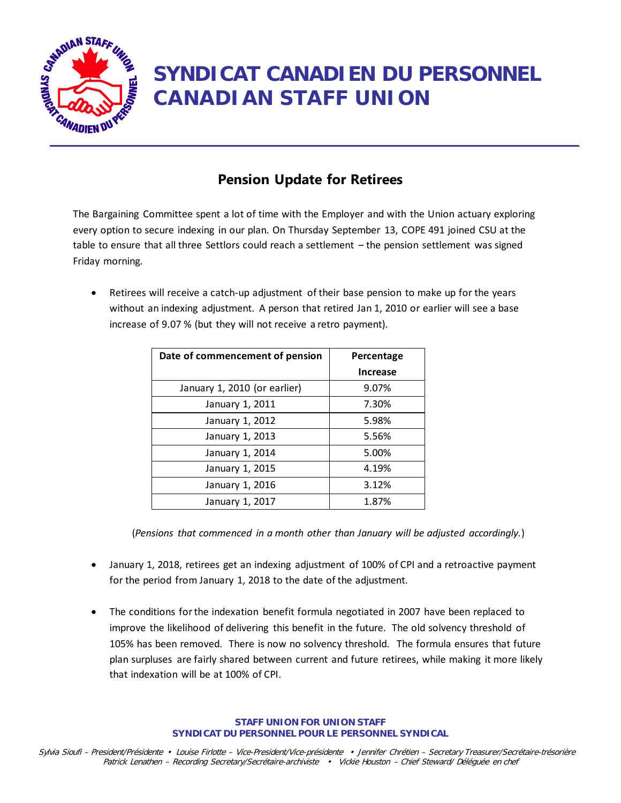

## **SYNDICAT CANADIEN DU PERSONNEL CANADIAN STAFF UNION**

## **Pension Update for Retirees**

The Bargaining Committee spent a lot of time with the Employer and with the Union actuary exploring every option to secure indexing in our plan. On Thursday September 13, COPE 491 joined CSU at the table to ensure that all three Settlors could reach a settlement – the pension settlement was signed Friday morning.

• Retirees will receive a catch-up adjustment of their base pension to make up for the years without an indexing adjustment. A person that retired Jan 1, 2010 or earlier will see a base increase of 9.07 % (but they will not receive a retro payment).

| Date of commencement of pension | Percentage      |
|---------------------------------|-----------------|
|                                 | <b>Increase</b> |
| January 1, 2010 (or earlier)    | 9.07%           |
| January 1, 2011                 | 7.30%           |
| January 1, 2012                 | 5.98%           |
| January 1, 2013                 | 5.56%           |
| January 1, 2014                 | 5.00%           |
| January 1, 2015                 | 4.19%           |
| January 1, 2016                 | 3.12%           |
| January 1, 2017                 | 1.87%           |

(*Pensions that commenced in a month other than January will be adjusted accordingly.*)

- January 1, 2018, retirees get an indexing adjustment of 100% of CPI and a retroactive payment for the period from January 1, 2018 to the date of the adjustment.
- The conditions for the indexation benefit formula negotiated in 2007 have been replaced to improve the likelihood of delivering this benefit in the future. The old solvency threshold of 105% has been removed. There is now no solvency threshold. The formula ensures that future plan surpluses are fairly shared between current and future retirees, while making it more likely that indexation will be at 100% of CPI.

**STAFF UNION FOR UNION STAFF SYNDICAT DU PERSONNEL POUR LE PERSONNEL SYNDICAL**